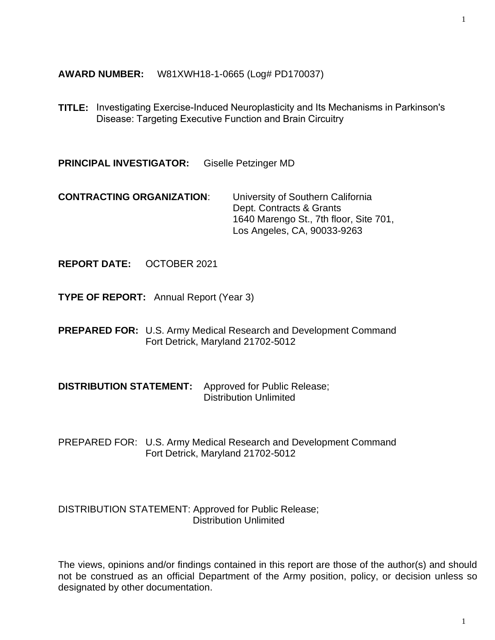**AWARD NUMBER:** W81XWH18-1-0665 (Log# PD170037)

**TITLE:** Investigating Exercise-Induced Neuroplasticity and Its Mechanisms in Parkinson's Disease: Targeting Executive Function and Brain Circuitry

**PRINCIPAL INVESTIGATOR:** Giselle Petzinger MD

**CONTRACTING ORGANIZATION**: University of Southern California Dept. Contracts & Grants 1640 Marengo St., 7th floor, Site 701, Los Angeles, CA, 90033-9263

**REPORT DATE:** OCTOBER 2021

**TYPE OF REPORT:** Annual Report (Year 3)

**PREPARED FOR:** U.S. Army Medical Research and Development Command Fort Detrick, Maryland 21702-5012

**DISTRIBUTION STATEMENT:** Approved for Public Release; Distribution Unlimited

PREPARED FOR: U.S. Army Medical Research and Development Command Fort Detrick, Maryland 21702-5012

DISTRIBUTION STATEMENT: Approved for Public Release; Distribution Unlimited

The views, opinions and/or findings contained in this report are those of the author(s) and should not be construed as an official Department of the Army position, policy, or decision unless so designated by other documentation.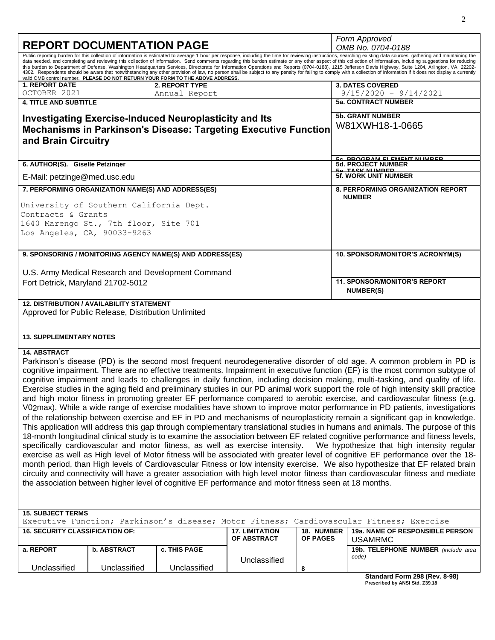| <b>REPORT DOCUMENTATION PAGE</b>                                                                                                                                                                                                                                                                                                                                                                                                                                                                                                                                                                                                                                                                                                                                                                                                                                                                                                                                                                                                                                                                                                                                                                                                                                                                                                                                                                                                                                                                                                                                                                                                                                                                                                                                                                                                                                |                                                                     |                                                                                |                                                                        |                               | Form Approved                                                                                                                                                                                                                                                                                                                                                                                                                                                                                                                                                                                                                                        |  |  |
|-----------------------------------------------------------------------------------------------------------------------------------------------------------------------------------------------------------------------------------------------------------------------------------------------------------------------------------------------------------------------------------------------------------------------------------------------------------------------------------------------------------------------------------------------------------------------------------------------------------------------------------------------------------------------------------------------------------------------------------------------------------------------------------------------------------------------------------------------------------------------------------------------------------------------------------------------------------------------------------------------------------------------------------------------------------------------------------------------------------------------------------------------------------------------------------------------------------------------------------------------------------------------------------------------------------------------------------------------------------------------------------------------------------------------------------------------------------------------------------------------------------------------------------------------------------------------------------------------------------------------------------------------------------------------------------------------------------------------------------------------------------------------------------------------------------------------------------------------------------------|---------------------------------------------------------------------|--------------------------------------------------------------------------------|------------------------------------------------------------------------|-------------------------------|------------------------------------------------------------------------------------------------------------------------------------------------------------------------------------------------------------------------------------------------------------------------------------------------------------------------------------------------------------------------------------------------------------------------------------------------------------------------------------------------------------------------------------------------------------------------------------------------------------------------------------------------------|--|--|
|                                                                                                                                                                                                                                                                                                                                                                                                                                                                                                                                                                                                                                                                                                                                                                                                                                                                                                                                                                                                                                                                                                                                                                                                                                                                                                                                                                                                                                                                                                                                                                                                                                                                                                                                                                                                                                                                 |                                                                     |                                                                                |                                                                        |                               | OMB No. 0704-0188<br>Public reporting burden for this collection of information is estimated to average 1 hour per response, including the time for reviewing instructions, searching existing data sources, gathering and maintaining the                                                                                                                                                                                                                                                                                                                                                                                                           |  |  |
|                                                                                                                                                                                                                                                                                                                                                                                                                                                                                                                                                                                                                                                                                                                                                                                                                                                                                                                                                                                                                                                                                                                                                                                                                                                                                                                                                                                                                                                                                                                                                                                                                                                                                                                                                                                                                                                                 |                                                                     | valid OMB control number. PLEASE DO NOT RETURN YOUR FORM TO THE ABOVE ADDRESS. |                                                                        |                               | data needed, and completing and reviewing this collection of information. Send comments regarding this burden estimate or any other aspect of this collection of information, including suggestions for reducing<br>this burden to Department of Defense, Washington Headquarters Services, Directorate for Information Operations and Reports (0704-0188), 1215 Jefferson Davis Highway, Suite 1204, Arlington, VA 22202-<br>4302. Respondents should be aware that notwithstanding any other provision of law, no person shall be subject to any penalty for failing to comply with a collection of information if it does not display a currently |  |  |
| <b>1. REPORT DATE</b>                                                                                                                                                                                                                                                                                                                                                                                                                                                                                                                                                                                                                                                                                                                                                                                                                                                                                                                                                                                                                                                                                                                                                                                                                                                                                                                                                                                                                                                                                                                                                                                                                                                                                                                                                                                                                                           |                                                                     | 2. REPORT TYPE                                                                 |                                                                        |                               | <b>3. DATES COVERED</b>                                                                                                                                                                                                                                                                                                                                                                                                                                                                                                                                                                                                                              |  |  |
| OCTOBER 2021<br><b>4. TITLE AND SUBTITLE</b>                                                                                                                                                                                                                                                                                                                                                                                                                                                                                                                                                                                                                                                                                                                                                                                                                                                                                                                                                                                                                                                                                                                                                                                                                                                                                                                                                                                                                                                                                                                                                                                                                                                                                                                                                                                                                    |                                                                     | Annual Report                                                                  |                                                                        |                               | $9/15/2020 - 9/14/2021$<br><b>5a. CONTRACT NUMBER</b>                                                                                                                                                                                                                                                                                                                                                                                                                                                                                                                                                                                                |  |  |
|                                                                                                                                                                                                                                                                                                                                                                                                                                                                                                                                                                                                                                                                                                                                                                                                                                                                                                                                                                                                                                                                                                                                                                                                                                                                                                                                                                                                                                                                                                                                                                                                                                                                                                                                                                                                                                                                 |                                                                     |                                                                                |                                                                        |                               |                                                                                                                                                                                                                                                                                                                                                                                                                                                                                                                                                                                                                                                      |  |  |
| and Brain Circuitry                                                                                                                                                                                                                                                                                                                                                                                                                                                                                                                                                                                                                                                                                                                                                                                                                                                                                                                                                                                                                                                                                                                                                                                                                                                                                                                                                                                                                                                                                                                                                                                                                                                                                                                                                                                                                                             |                                                                     | <b>Investigating Exercise-Induced Neuroplasticity and Its</b>                  | <b>Mechanisms in Parkinson's Disease: Targeting Executive Function</b> |                               | <b>5b. GRANT NUMBER</b><br>W81XWH18-1-0665                                                                                                                                                                                                                                                                                                                                                                                                                                                                                                                                                                                                           |  |  |
| 6. AUTHOR(S). Giselle Petzinger                                                                                                                                                                                                                                                                                                                                                                                                                                                                                                                                                                                                                                                                                                                                                                                                                                                                                                                                                                                                                                                                                                                                                                                                                                                                                                                                                                                                                                                                                                                                                                                                                                                                                                                                                                                                                                 |                                                                     |                                                                                |                                                                        |                               | <u>EA DDACDAM EI EMENT NIIMBED</u><br><b>5d. PROJECT NUMBER</b>                                                                                                                                                                                                                                                                                                                                                                                                                                                                                                                                                                                      |  |  |
| E-Mail: petzinge@med.usc.edu                                                                                                                                                                                                                                                                                                                                                                                                                                                                                                                                                                                                                                                                                                                                                                                                                                                                                                                                                                                                                                                                                                                                                                                                                                                                                                                                                                                                                                                                                                                                                                                                                                                                                                                                                                                                                                    |                                                                     |                                                                                |                                                                        |                               | 50 TASK NIIMRED<br><b>5f. WORK UNIT NUMBER</b>                                                                                                                                                                                                                                                                                                                                                                                                                                                                                                                                                                                                       |  |  |
|                                                                                                                                                                                                                                                                                                                                                                                                                                                                                                                                                                                                                                                                                                                                                                                                                                                                                                                                                                                                                                                                                                                                                                                                                                                                                                                                                                                                                                                                                                                                                                                                                                                                                                                                                                                                                                                                 |                                                                     |                                                                                |                                                                        |                               |                                                                                                                                                                                                                                                                                                                                                                                                                                                                                                                                                                                                                                                      |  |  |
|                                                                                                                                                                                                                                                                                                                                                                                                                                                                                                                                                                                                                                                                                                                                                                                                                                                                                                                                                                                                                                                                                                                                                                                                                                                                                                                                                                                                                                                                                                                                                                                                                                                                                                                                                                                                                                                                 | 7. PERFORMING ORGANIZATION NAME(S) AND ADDRESS(ES)<br><b>NUMBER</b> |                                                                                |                                                                        |                               | <b>8. PERFORMING ORGANIZATION REPORT</b>                                                                                                                                                                                                                                                                                                                                                                                                                                                                                                                                                                                                             |  |  |
| University of Southern California Dept.<br>Contracts & Grants<br>1640 Marengo St., 7th floor, Site 701                                                                                                                                                                                                                                                                                                                                                                                                                                                                                                                                                                                                                                                                                                                                                                                                                                                                                                                                                                                                                                                                                                                                                                                                                                                                                                                                                                                                                                                                                                                                                                                                                                                                                                                                                          |                                                                     |                                                                                |                                                                        |                               |                                                                                                                                                                                                                                                                                                                                                                                                                                                                                                                                                                                                                                                      |  |  |
| Los Angeles, CA, 90033-9263                                                                                                                                                                                                                                                                                                                                                                                                                                                                                                                                                                                                                                                                                                                                                                                                                                                                                                                                                                                                                                                                                                                                                                                                                                                                                                                                                                                                                                                                                                                                                                                                                                                                                                                                                                                                                                     |                                                                     |                                                                                |                                                                        |                               |                                                                                                                                                                                                                                                                                                                                                                                                                                                                                                                                                                                                                                                      |  |  |
|                                                                                                                                                                                                                                                                                                                                                                                                                                                                                                                                                                                                                                                                                                                                                                                                                                                                                                                                                                                                                                                                                                                                                                                                                                                                                                                                                                                                                                                                                                                                                                                                                                                                                                                                                                                                                                                                 |                                                                     |                                                                                |                                                                        |                               |                                                                                                                                                                                                                                                                                                                                                                                                                                                                                                                                                                                                                                                      |  |  |
|                                                                                                                                                                                                                                                                                                                                                                                                                                                                                                                                                                                                                                                                                                                                                                                                                                                                                                                                                                                                                                                                                                                                                                                                                                                                                                                                                                                                                                                                                                                                                                                                                                                                                                                                                                                                                                                                 |                                                                     | 9. SPONSORING / MONITORING AGENCY NAME(S) AND ADDRESS(ES)                      |                                                                        |                               | 10. SPONSOR/MONITOR'S ACRONYM(S)                                                                                                                                                                                                                                                                                                                                                                                                                                                                                                                                                                                                                     |  |  |
|                                                                                                                                                                                                                                                                                                                                                                                                                                                                                                                                                                                                                                                                                                                                                                                                                                                                                                                                                                                                                                                                                                                                                                                                                                                                                                                                                                                                                                                                                                                                                                                                                                                                                                                                                                                                                                                                 |                                                                     |                                                                                |                                                                        |                               |                                                                                                                                                                                                                                                                                                                                                                                                                                                                                                                                                                                                                                                      |  |  |
| Fort Detrick, Maryland 21702-5012                                                                                                                                                                                                                                                                                                                                                                                                                                                                                                                                                                                                                                                                                                                                                                                                                                                                                                                                                                                                                                                                                                                                                                                                                                                                                                                                                                                                                                                                                                                                                                                                                                                                                                                                                                                                                               |                                                                     | U.S. Army Medical Research and Development Command                             |                                                                        |                               | <b>11. SPONSOR/MONITOR'S REPORT</b>                                                                                                                                                                                                                                                                                                                                                                                                                                                                                                                                                                                                                  |  |  |
|                                                                                                                                                                                                                                                                                                                                                                                                                                                                                                                                                                                                                                                                                                                                                                                                                                                                                                                                                                                                                                                                                                                                                                                                                                                                                                                                                                                                                                                                                                                                                                                                                                                                                                                                                                                                                                                                 |                                                                     |                                                                                |                                                                        |                               | <b>NUMBER(S)</b>                                                                                                                                                                                                                                                                                                                                                                                                                                                                                                                                                                                                                                     |  |  |
| <b>12. DISTRIBUTION / AVAILABILITY STATEMENT</b><br>Approved for Public Release, Distribution Unlimited                                                                                                                                                                                                                                                                                                                                                                                                                                                                                                                                                                                                                                                                                                                                                                                                                                                                                                                                                                                                                                                                                                                                                                                                                                                                                                                                                                                                                                                                                                                                                                                                                                                                                                                                                         |                                                                     |                                                                                |                                                                        |                               |                                                                                                                                                                                                                                                                                                                                                                                                                                                                                                                                                                                                                                                      |  |  |
| <b>13. SUPPLEMENTARY NOTES</b>                                                                                                                                                                                                                                                                                                                                                                                                                                                                                                                                                                                                                                                                                                                                                                                                                                                                                                                                                                                                                                                                                                                                                                                                                                                                                                                                                                                                                                                                                                                                                                                                                                                                                                                                                                                                                                  |                                                                     |                                                                                |                                                                        |                               |                                                                                                                                                                                                                                                                                                                                                                                                                                                                                                                                                                                                                                                      |  |  |
| <b>14. ABSTRACT</b><br>Parkinson's disease (PD) is the second most frequent neurodegenerative disorder of old age. A common problem in PD is<br>cognitive impairment. There are no effective treatments. Impairment in executive function (EF) is the most common subtype of<br>cognitive impairment and leads to challenges in daily function, including decision making, multi-tasking, and quality of life.<br>Exercise studies in the aging field and preliminary studies in our PD animal work support the role of high intensity skill practice<br>and high motor fitness in promoting greater EF performance compared to aerobic exercise, and cardiovascular fitness (e.g.<br>V02max). While a wide range of exercise modalities have shown to improve motor performance in PD patients, investigations<br>of the relationship between exercise and EF in PD and mechanisms of neuroplasticity remain a significant gap in knowledge.<br>This application will address this gap through complementary translational studies in humans and animals. The purpose of this<br>18-month longitudinal clinical study is to examine the association between EF related cognitive performance and fitness levels,<br>specifically cardiovascular and motor fitness, as well as exercise intensity.<br>We hypothesize that high intensity regular<br>exercise as well as High level of Motor fitness will be associated with greater level of cognitive EF performance over the 18-<br>month period, than High levels of Cardiovascular Fitness or low intensity exercise. We also hypothesize that EF related brain<br>circuity and connectivity will have a greater association with high level motor fitness than cardiovascular fitness and mediate<br>the association between higher level of cognitive EF performance and motor fitness seen at 18 months. |                                                                     |                                                                                |                                                                        |                               |                                                                                                                                                                                                                                                                                                                                                                                                                                                                                                                                                                                                                                                      |  |  |
| <b>15. SUBJECT TERMS</b>                                                                                                                                                                                                                                                                                                                                                                                                                                                                                                                                                                                                                                                                                                                                                                                                                                                                                                                                                                                                                                                                                                                                                                                                                                                                                                                                                                                                                                                                                                                                                                                                                                                                                                                                                                                                                                        |                                                                     |                                                                                |                                                                        |                               |                                                                                                                                                                                                                                                                                                                                                                                                                                                                                                                                                                                                                                                      |  |  |
|                                                                                                                                                                                                                                                                                                                                                                                                                                                                                                                                                                                                                                                                                                                                                                                                                                                                                                                                                                                                                                                                                                                                                                                                                                                                                                                                                                                                                                                                                                                                                                                                                                                                                                                                                                                                                                                                 |                                                                     | Executive Function; Parkinson's disease; Motor Fitness;                        |                                                                        |                               | Cardiovascular Fitness; Exercise                                                                                                                                                                                                                                                                                                                                                                                                                                                                                                                                                                                                                     |  |  |
| <b>16. SECURITY CLASSIFICATION OF:</b>                                                                                                                                                                                                                                                                                                                                                                                                                                                                                                                                                                                                                                                                                                                                                                                                                                                                                                                                                                                                                                                                                                                                                                                                                                                                                                                                                                                                                                                                                                                                                                                                                                                                                                                                                                                                                          |                                                                     |                                                                                | <b>17. LIMITATION</b><br>OF ABSTRACT                                   | 18. NUMBER<br><b>OF PAGES</b> | 19a. NAME OF RESPONSIBLE PERSON<br><b>USAMRMC</b>                                                                                                                                                                                                                                                                                                                                                                                                                                                                                                                                                                                                    |  |  |
| a. REPORT                                                                                                                                                                                                                                                                                                                                                                                                                                                                                                                                                                                                                                                                                                                                                                                                                                                                                                                                                                                                                                                                                                                                                                                                                                                                                                                                                                                                                                                                                                                                                                                                                                                                                                                                                                                                                                                       | <b>b. ABSTRACT</b>                                                  | c. THIS PAGE                                                                   |                                                                        |                               | 19b. TELEPHONE NUMBER (include area                                                                                                                                                                                                                                                                                                                                                                                                                                                                                                                                                                                                                  |  |  |
|                                                                                                                                                                                                                                                                                                                                                                                                                                                                                                                                                                                                                                                                                                                                                                                                                                                                                                                                                                                                                                                                                                                                                                                                                                                                                                                                                                                                                                                                                                                                                                                                                                                                                                                                                                                                                                                                 |                                                                     |                                                                                | Unclassified                                                           |                               | code)                                                                                                                                                                                                                                                                                                                                                                                                                                                                                                                                                                                                                                                |  |  |
| Unclassified                                                                                                                                                                                                                                                                                                                                                                                                                                                                                                                                                                                                                                                                                                                                                                                                                                                                                                                                                                                                                                                                                                                                                                                                                                                                                                                                                                                                                                                                                                                                                                                                                                                                                                                                                                                                                                                    | Unclassified                                                        | Unclassified                                                                   |                                                                        | 8                             |                                                                                                                                                                                                                                                                                                                                                                                                                                                                                                                                                                                                                                                      |  |  |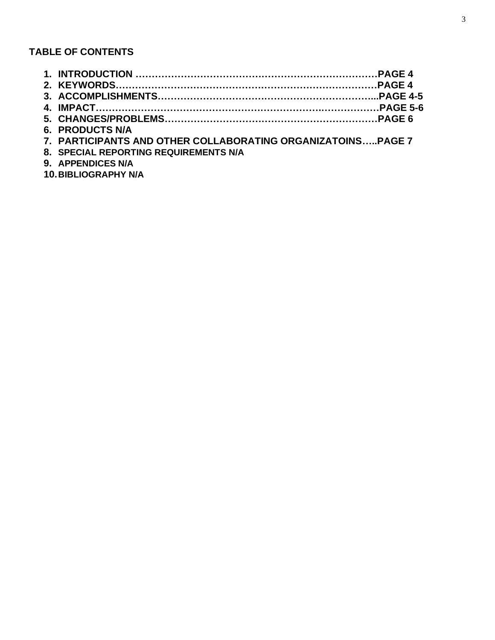# **TABLE OF CONTENTS**

| 6. PRODUCTS N/A                                             |  |
|-------------------------------------------------------------|--|
| 7. PARTICIPANTS AND OTHER COLLABORATING ORGANIZATOINSPAGE 7 |  |
| 8. SPECIAL REPORTING REQUIREMENTS N/A                       |  |
|                                                             |  |

**9. APPENDICES N/A 10.BIBLIOGRAPHY N/A**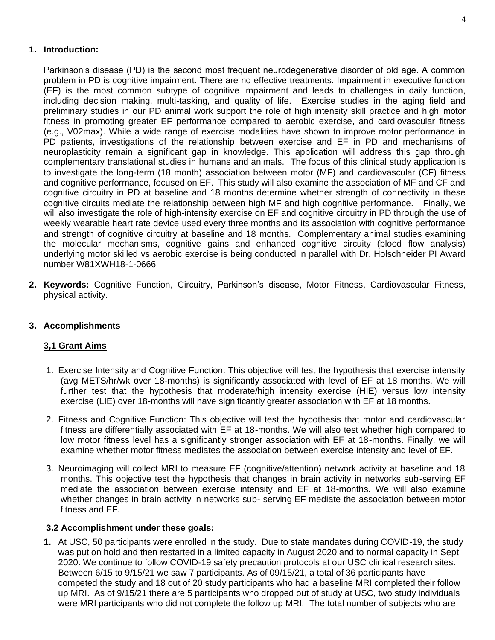# **1. Introduction:**

Parkinson's disease (PD) is the second most frequent neurodegenerative disorder of old age. A common problem in PD is cognitive impairment. There are no effective treatments. Impairment in executive function (EF) is the most common subtype of cognitive impairment and leads to challenges in daily function, including decision making, multi-tasking, and quality of life. Exercise studies in the aging field and preliminary studies in our PD animal work support the role of high intensity skill practice and high motor fitness in promoting greater EF performance compared to aerobic exercise, and cardiovascular fitness (e.g., V02max). While a wide range of exercise modalities have shown to improve motor performance in PD patients, investigations of the relationship between exercise and EF in PD and mechanisms of neuroplasticity remain a significant gap in knowledge. This application will address this gap through complementary translational studies in humans and animals. The focus of this clinical study application is to investigate the long-term (18 month) association between motor (MF) and cardiovascular (CF) fitness and cognitive performance, focused on EF. This study will also examine the association of MF and CF and cognitive circuitry in PD at baseline and 18 months determine whether strength of connectivity in these cognitive circuits mediate the relationship between high MF and high cognitive performance. Finally, we will also investigate the role of high-intensity exercise on EF and cognitive circuitry in PD through the use of weekly wearable heart rate device used every three months and its association with cognitive performance and strength of cognitive circuitry at baseline and 18 months. Complementary animal studies examining the molecular mechanisms, cognitive gains and enhanced cognitive circuity (blood flow analysis) underlying motor skilled vs aerobic exercise is being conducted in parallel with Dr. Holschneider PI Award number W81XWH18-1-0666

**2. Keywords:** Cognitive Function, Circuitry, Parkinson's disease, Motor Fitness, Cardiovascular Fitness, physical activity.

# **3. Accomplishments**

### **3,1 Grant Aims**

- 1. Exercise Intensity and Cognitive Function: This objective will test the hypothesis that exercise intensity (avg METS/hr/wk over 18-months) is significantly associated with level of EF at 18 months. We will further test that the hypothesis that moderate/high intensity exercise (HIE) versus low intensity exercise (LIE) over 18-months will have significantly greater association with EF at 18 months.
- 2. Fitness and Cognitive Function: This objective will test the hypothesis that motor and cardiovascular fitness are differentially associated with EF at 18-months. We will also test whether high compared to low motor fitness level has a significantly stronger association with EF at 18-months. Finally, we will examine whether motor fitness mediates the association between exercise intensity and level of EF.
- 3. Neuroimaging will collect MRI to measure EF (cognitive/attention) network activity at baseline and 18 months. This objective test the hypothesis that changes in brain activity in networks sub-serving EF mediate the association between exercise intensity and EF at 18-months. We will also examine whether changes in brain activity in networks sub- serving EF mediate the association between motor fitness and EF.

### **3.2 Accomplishment under these goals:**

**1.** At USC, 50 participants were enrolled in the study. Due to state mandates during COVID-19, the study was put on hold and then restarted in a limited capacity in August 2020 and to normal capacity in Sept 2020. We continue to follow COVID-19 safety precaution protocols at our USC clinical research sites. Between 6/15 to 9/15/21 we saw 7 participants. As of 09/15/21, a total of 36 participants have competed the study and 18 out of 20 study participants who had a baseline MRI completed their follow up MRI. As of 9/15/21 there are 5 participants who dropped out of study at USC, two study individuals were MRI participants who did not complete the follow up MRI. The total number of subjects who are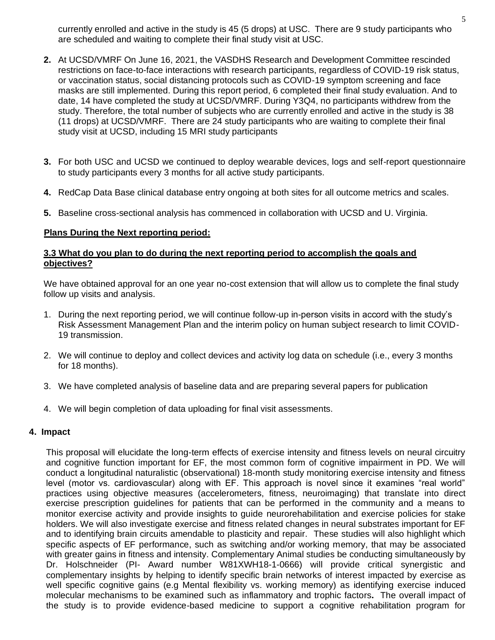currently enrolled and active in the study is 45 (5 drops) at USC. There are 9 study participants who are scheduled and waiting to complete their final study visit at USC.

- **2.** At UCSD/VMRF On June 16, 2021, the VASDHS Research and Development Committee rescinded restrictions on face-to-face interactions with research participants, regardless of COVID-19 risk status, or vaccination status, social distancing protocols such as COVID-19 symptom screening and face masks are still implemented. During this report period, 6 completed their final study evaluation. And to date, 14 have completed the study at UCSD/VMRF. During Y3Q4, no participants withdrew from the study. Therefore, the total number of subjects who are currently enrolled and active in the study is 38 (11 drops) at UCSD/VMRF. There are 24 study participants who are waiting to complete their final study visit at UCSD, including 15 MRI study participants
- **3.** For both USC and UCSD we continued to deploy wearable devices, logs and self-report questionnaire to study participants every 3 months for all active study participants.
- **4.** RedCap Data Base clinical database entry ongoing at both sites for all outcome metrics and scales.
- **5.** Baseline cross-sectional analysis has commenced in collaboration with UCSD and U. Virginia.

#### **Plans During the Next reporting period:**

#### **3.3 What do you plan to do during the next reporting period to accomplish the goals and objectives?**

We have obtained approval for an one year no-cost extension that will allow us to complete the final study follow up visits and analysis.

- 1. During the next reporting period, we will continue follow-up in-person visits in accord with the study's Risk Assessment Management Plan and the interim policy on human subject research to limit COVID-19 transmission.
- 2. We will continue to deploy and collect devices and activity log data on schedule (i.e., every 3 months for 18 months).
- 3. We have completed analysis of baseline data and are preparing several papers for publication
- 4. We will begin completion of data uploading for final visit assessments.

#### **4. Impact**

This proposal will elucidate the long-term effects of exercise intensity and fitness levels on neural circuitry and cognitive function important for EF, the most common form of cognitive impairment in PD. We will conduct a longitudinal naturalistic (observational) 18-month study monitoring exercise intensity and fitness level (motor vs. cardiovascular) along with EF. This approach is novel since it examines "real world" practices using objective measures (accelerometers, fitness, neuroimaging) that translate into direct exercise prescription guidelines for patients that can be performed in the community and a means to monitor exercise activity and provide insights to guide neurorehabilitation and exercise policies for stake holders. We will also investigate exercise and fitness related changes in neural substrates important for EF and to identifying brain circuits amendable to plasticity and repair. These studies will also highlight which specific aspects of EF performance, such as switching and/or working memory, that may be associated with greater gains in fitness and intensity. Complementary Animal studies be conducting simultaneously by Dr. Holschneider (PI- Award number W81XWH18-1-0666) will provide critical synergistic and complementary insights by helping to identify specific brain networks of interest impacted by exercise as well specific cognitive gains (e.g Mental flexibility vs. working memory) as identifying exercise induced molecular mechanisms to be examined such as inflammatory and trophic factors**.** The overall impact of the study is to provide evidence-based medicine to support a cognitive rehabilitation program for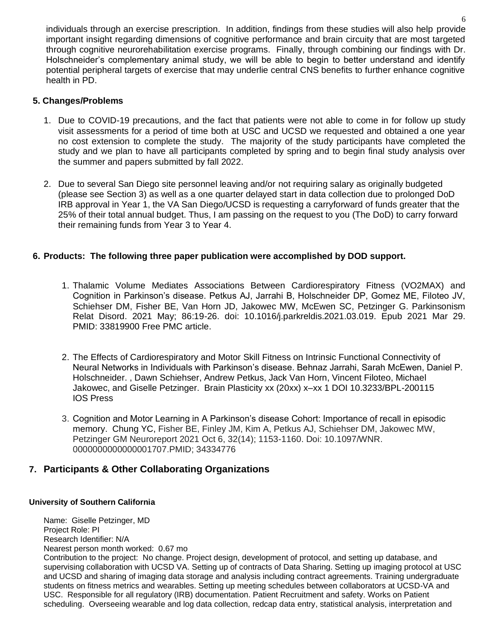individuals through an exercise prescription. In addition, findings from these studies will also help provide important insight regarding dimensions of cognitive performance and brain circuity that are most targeted through cognitive neurorehabilitation exercise programs. Finally, through combining our findings with Dr. Holschneider's complementary animal study, we will be able to begin to better understand and identify potential peripheral targets of exercise that may underlie central CNS benefits to further enhance cognitive health in PD.

# **5. Changes/Problems**

- 1. Due to COVID-19 precautions, and the fact that patients were not able to come in for follow up study visit assessments for a period of time both at USC and UCSD we requested and obtained a one year no cost extension to complete the study. The majority of the study participants have completed the study and we plan to have all participants completed by spring and to begin final study analysis over the summer and papers submitted by fall 2022.
- 2. Due to several San Diego site personnel leaving and/or not requiring salary as originally budgeted (please see Section 3) as well as a one quarter delayed start in data collection due to prolonged DoD IRB approval in Year 1, the VA San Diego/UCSD is requesting a carryforward of funds greater that the 25% of their total annual budget. Thus, I am passing on the request to you (The DoD) to carry forward their remaining funds from Year 3 to Year 4.

# **6. Products: The following three paper publication were accomplished by DOD support.**

- 1. Thalamic Volume Mediates Associations Between Cardiorespiratory Fitness (VO2MAX) and Cognition in Parkinson's disease. Petkus AJ, Jarrahi B, Holschneider DP, Gomez ME, Filoteo JV, Schiehser DM, Fisher BE, Van Horn JD, Jakowec MW, McEwen SC, Petzinger G. Parkinsonism Relat Disord. 2021 May; 86:19-26. doi: 10.1016/j.parkreldis.2021.03.019. Epub 2021 Mar 29. PMID: 33819900 Free PMC article.
- 2. The Effects of Cardiorespiratory and Motor Skill Fitness on Intrinsic Functional Connectivity of Neural Networks in Individuals with Parkinson's disease. Behnaz Jarrahi, Sarah McEwen, Daniel P. Holschneider. , Dawn Schiehser, Andrew Petkus, Jack Van Horn, Vincent Filoteo, Michael Jakowec, and Giselle Petzinger. Brain Plasticity xx (20xx) x–xx 1 DOI 10.3233/BPL-200115 IOS Press
- 3. Cognition and Motor Learning in A Parkinson's disease Cohort: Importance of recall in episodic memory. Chung YC, Fisher BE, Finley JM, Kim A, Petkus AJ, Schiehser DM, Jakowec MW, Petzinger GM Neuroreport 2021 Oct 6, 32(14); 1153-1160. Doi: 10.1097/WNR. 0000000000000001707.PMID; 34334776

scheduling. Overseeing wearable and log data collection, redcap data entry, statistical analysis, interpretation and

# **7. Participants & Other Collaborating Organizations**

#### **University of Southern California**

Name: Giselle Petzinger, MD Project Role: PI Research Identifier: N/A Nearest person month worked: 0.67 mo Contribution to the project: No change. Project design, development of protocol, and setting up database, and supervising collaboration with UCSD VA. Setting up of contracts of Data Sharing. Setting up imaging protocol at USC and UCSD and sharing of imaging data storage and analysis including contract agreements. Training undergraduate students on fitness metrics and wearables. Setting up meeting schedules between collaborators at UCSD-VA and USC. Responsible for all regulatory (IRB) documentation. Patient Recruitment and safety. Works on Patient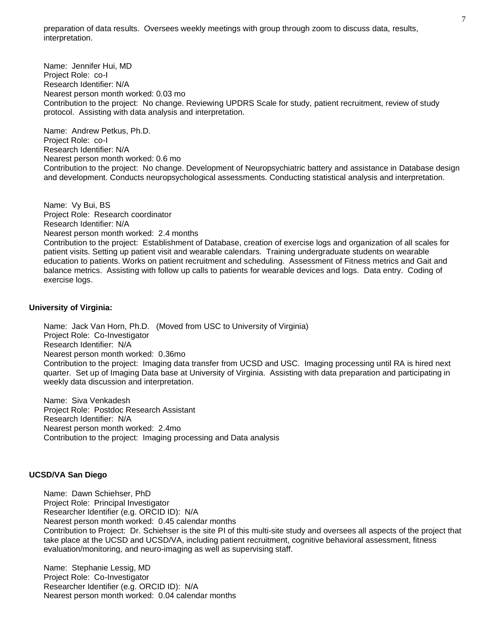preparation of data results. Oversees weekly meetings with group through zoom to discuss data, results, interpretation.

Name: Jennifer Hui, MD Project Role: co-I Research Identifier: N/A Nearest person month worked: 0.03 mo Contribution to the project: No change. Reviewing UPDRS Scale for study, patient recruitment, review of study protocol. Assisting with data analysis and interpretation.

Name: Andrew Petkus, Ph.D. Project Role: co-I Research Identifier: N/A Nearest person month worked: 0.6 mo Contribution to the project: No change. Development of Neuropsychiatric battery and assistance in Database design and development. Conducts neuropsychological assessments. Conducting statistical analysis and interpretation.

Name: Vy Bui, BS Project Role: Research coordinator Research Identifier: N/A Nearest person month worked: 2.4 months Contribution to the project: Establishment of Database, creation of exercise logs and organization of all scales for patient visits. Setting up patient visit and wearable calendars. Training undergraduate students on wearable education to patients. Works on patient recruitment and scheduling. Assessment of Fitness metrics and Gait and balance metrics. Assisting with follow up calls to patients for wearable devices and logs. Data entry. Coding of

#### **University of Virginia:**

exercise logs.

Name: Jack Van Horn, Ph.D. (Moved from USC to University of Virginia) Project Role: Co-Investigator Research Identifier: N/A Nearest person month worked: 0.36mo Contribution to the project: Imaging data transfer from UCSD and USC. Imaging processing until RA is hired next quarter. Set up of Imaging Data base at University of Virginia. Assisting with data preparation and participating in weekly data discussion and interpretation.

Name: Siva Venkadesh Project Role: Postdoc Research Assistant Research Identifier: N/A Nearest person month worked: 2.4mo Contribution to the project: Imaging processing and Data analysis

#### **UCSD/VA San Diego**

Name: Dawn Schiehser, PhD Project Role: Principal Investigator Researcher Identifier (e.g. ORCID ID): N/A Nearest person month worked: 0.45 calendar months Contribution to Project: Dr. Schiehser is the site PI of this multi-site study and oversees all aspects of the project that take place at the UCSD and UCSD/VA, including patient recruitment, cognitive behavioral assessment, fitness evaluation/monitoring, and neuro-imaging as well as supervising staff.

Name: Stephanie Lessig, MD Project Role: Co-Investigator Researcher Identifier (e.g. ORCID ID): N/A Nearest person month worked: 0.04 calendar months